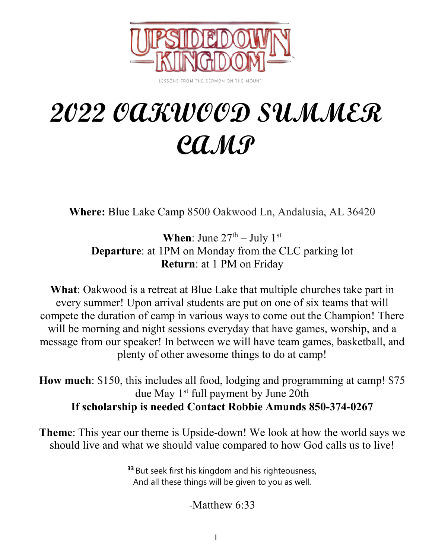

**2022 OAKWOOD SUMMER CAMP**

**Where:** Blue Lake Camp 8500 Oakwood Ln, Andalusia, AL 36420

**When**: June  $27<sup>th</sup> - July 1<sup>st</sup>$ **Departure**: at 1PM on Monday from the CLC parking lot **Return**: at 1 PM on Friday

**What**: Oakwood is a retreat at Blue Lake that multiple churches take part in every summer! Upon arrival students are put on one of six teams that will compete the duration of camp in various ways to come out the Champion! There will be morning and night sessions everyday that have games, worship, and a message from our speaker! In between we will have team games, basketball, and plenty of other awesome things to do at camp!

**How much**: \$150, this includes all food, lodging and programming at camp! \$75 due May 1<sup>st</sup> full payment by June 20th **If scholarship is needed Contact Robbie Amunds 850-374-0267**

**Theme**: This year our theme is Upside-down! We look at how the world says we should live and what we should value compared to how God calls us to live!

> **<sup>33</sup>** But seek first his kingdom and his righteousness, And all these things will be given to you as well.

> > -Matthew 6:33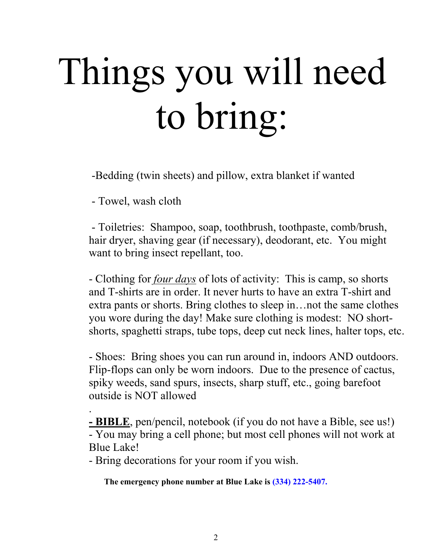# Things you will need to bring:

-Bedding (twin sheets) and pillow, extra blanket if wanted

- Towel, wash cloth

- Toiletries: Shampoo, soap, toothbrush, toothpaste, comb/brush, hair dryer, shaving gear (if necessary), deodorant, etc. You might want to bring insect repellant, too.

- Clothing for *four days* of lots of activity: This is camp, so shorts and T-shirts are in order. It never hurts to have an extra T-shirt and extra pants or shorts. Bring clothes to sleep in…not the same clothes you wore during the day! Make sure clothing is modest: NO shortshorts, spaghetti straps, tube tops, deep cut neck lines, halter tops, etc.

- Shoes: Bring shoes you can run around in, indoors AND outdoors. Flip-flops can only be worn indoors. Due to the presence of cactus, spiky weeds, sand spurs, insects, sharp stuff, etc., going barefoot outside is NOT allowed

. **- BIBLE**, pen/pencil, notebook (if you do not have a Bible, see us!) - You may bring a cell phone; but most cell phones will not work at Blue Lake!

- Bring decorations for your room if you wish.

**The emergency phone number at Blue Lake is (334) 222-5407.**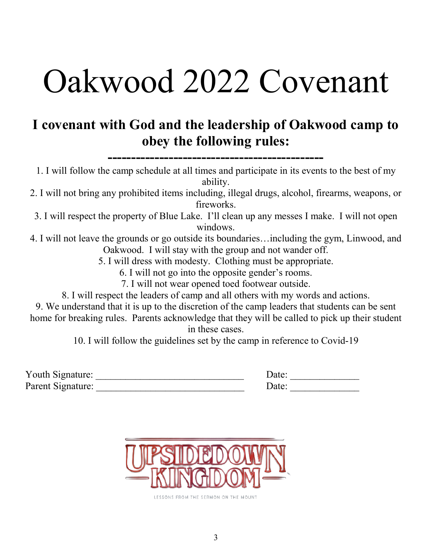## Oakwood 2022 Covenant

#### **I covenant with God and the leadership of Oakwood camp to obey the following rules:**

**----------------------------------------------**

1. I will follow the camp schedule at all times and participate in its events to the best of my ability.

2. I will not bring any prohibited items including, illegal drugs, alcohol, firearms, weapons, or fireworks.

3. I will respect the property of Blue Lake. I'll clean up any messes I make. I will not open windows.

4. I will not leave the grounds or go outside its boundaries…including the gym, Linwood, and Oakwood. I will stay with the group and not wander off.

5. I will dress with modesty. Clothing must be appropriate.

6. I will not go into the opposite gender's rooms.

7. I will not wear opened toed footwear outside.

8. I will respect the leaders of camp and all others with my words and actions.

9. We understand that it is up to the discretion of the camp leaders that students can be sent home for breaking rules. Parents acknowledge that they will be called to pick up their student in these cases.

10. I will follow the guidelines set by the camp in reference to Covid-19

| Youth Signature:  | Date: |  |
|-------------------|-------|--|
| Parent Signature: | Date: |  |



LESSONS FROM THE SERMON ON THE MOUNT